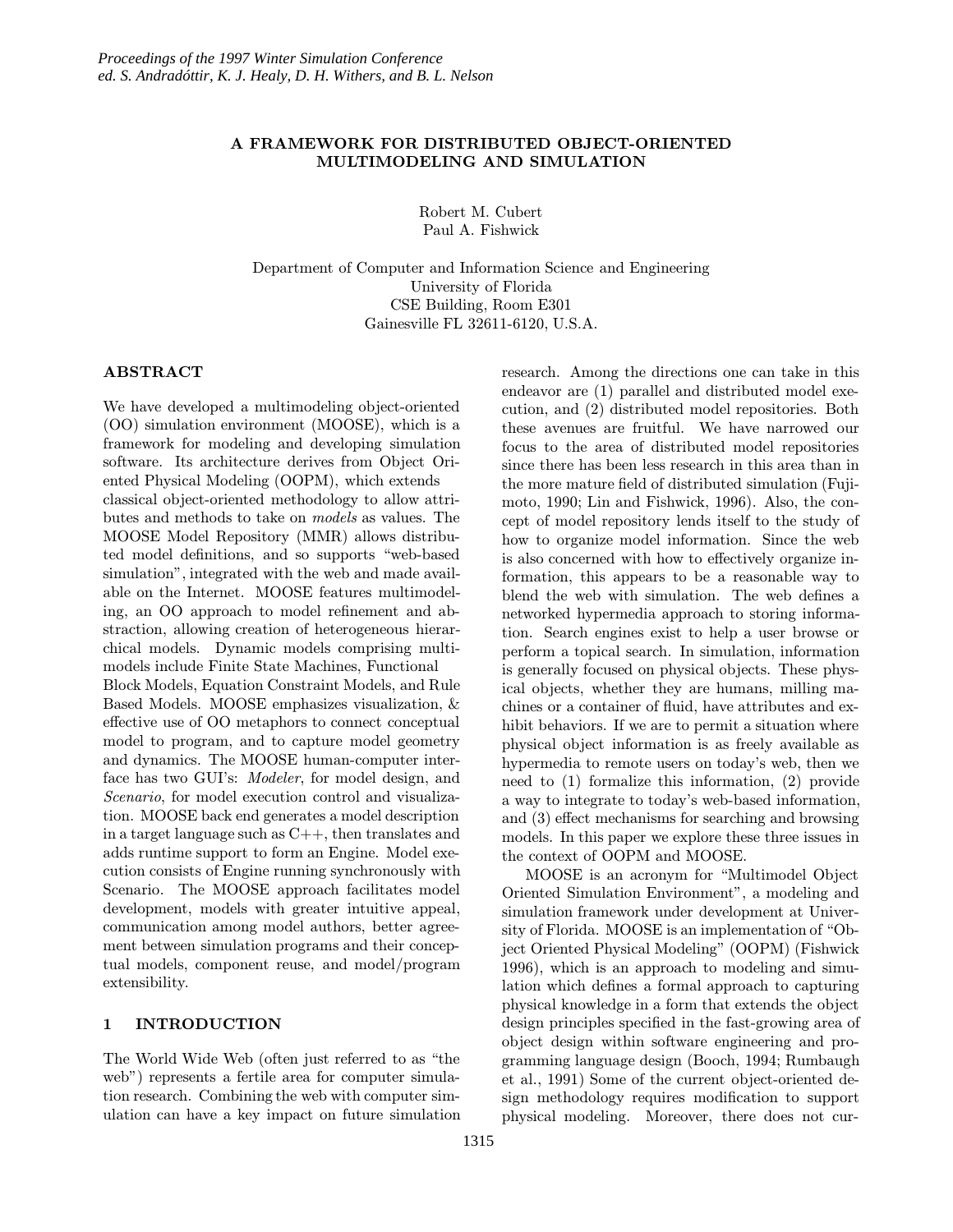### A FRAMEWORK FOR DISTRIBUTED OBJECT-ORIENTED MULTIMODELING AND SIMULATION

Robert M. Cubert Paul A. Fishwick

Department of Computer and Information Science and Engineering University of Florida CSE Building, Room E301 Gainesville FL 32611-6120, U.S.A.

### ABSTRACT

We have developed a multimodeling object-oriented (OO) simulation environment (MOOSE), which is a framework for modeling and developing simulation software. Its architecture derives from Object Oriented Physical Modeling (OOPM), which extends classical object-oriented methodology to allow attributes and methods to take on models as values. The MOOSE Model Repository (MMR) allows distributed model definitions, and so supports "web-based simulation", integrated with the web and made available on the Internet. MOOSE features multimodeling, an OO approach to model refinement and abstraction, allowing creation of heterogeneous hierarchical models. Dynamic models comprising multimodels include Finite State Machines, Functional Block Models, Equation Constraint Models, and Rule Based Models. MOOSE emphasizes visualization, & effective use of OO metaphors to connect conceptual model to program, and to capture model geometry and dynamics. The MOOSE human-computer interface has two GUI's: Modeler, for model design, and Scenario, for model execution control and visualization. MOOSE back end generates a model description in a target language such as C++, then translates and adds runtime support to form an Engine. Model execution consists of Engine running synchronously with

Scenario. The MOOSE approach facilitates model development, models with greater intuitive appeal, communication among model authors, better agreement between simulation programs and their conceptual models, component reuse, and model/program extensibility.

#### 1 INTRODUCTION

The World Wide Web (often just referred to as "the web") represents a fertile area for computer simulation research. Combining the web with computer simulation can have a key impact on future simulation research. Among the directions one can take in this endeavor are (1) parallel and distributed model execution, and (2) distributed model repositories. Both these avenues are fruitful. We have narrowed our focus to the area of distributed model repositories since there has been less research in this area than in the more mature field of distributed simulation (Fujimoto, 1990; Lin and Fishwick, 1996). Also, the concept of model repository lends itself to the study of how to organize model information. Since the web is also concerned with how to effectively organize information, this appears to be a reasonable way to blend the web with simulation. The web defines a networked hypermedia approach to storing information. Search engines exist to help a user browse or perform a topical search. In simulation, information is generally focused on physical objects. These physical objects, whether they are humans, milling machines or a container of fluid, have attributes and exhibit behaviors. If we are to permit a situation where physical object information is as freely available as hypermedia to remote users on today's web, then we need to (1) formalize this information, (2) provide a way to integrate to today's web-based information, and (3) effect mechanisms for searching and browsing models. In this paper we explore these three issues in the context of OOPM and MOOSE.

MOOSE is an acronym for "Multimodel Object Oriented Simulation Environment", a modeling and simulation framework under development at University of Florida. MOOSE is an implementation of "Object Oriented Physical Modeling" (OOPM) (Fishwick 1996), which is an approach to modeling and simulation which defines a formal approach to capturing physical knowledge in a form that extends the object design principles specified in the fast-growing area of object design within software engineering and programming language design (Booch, 1994; Rumbaugh et al., 1991) Some of the current object-oriented design methodology requires modification to support physical modeling. Moreover, there does not cur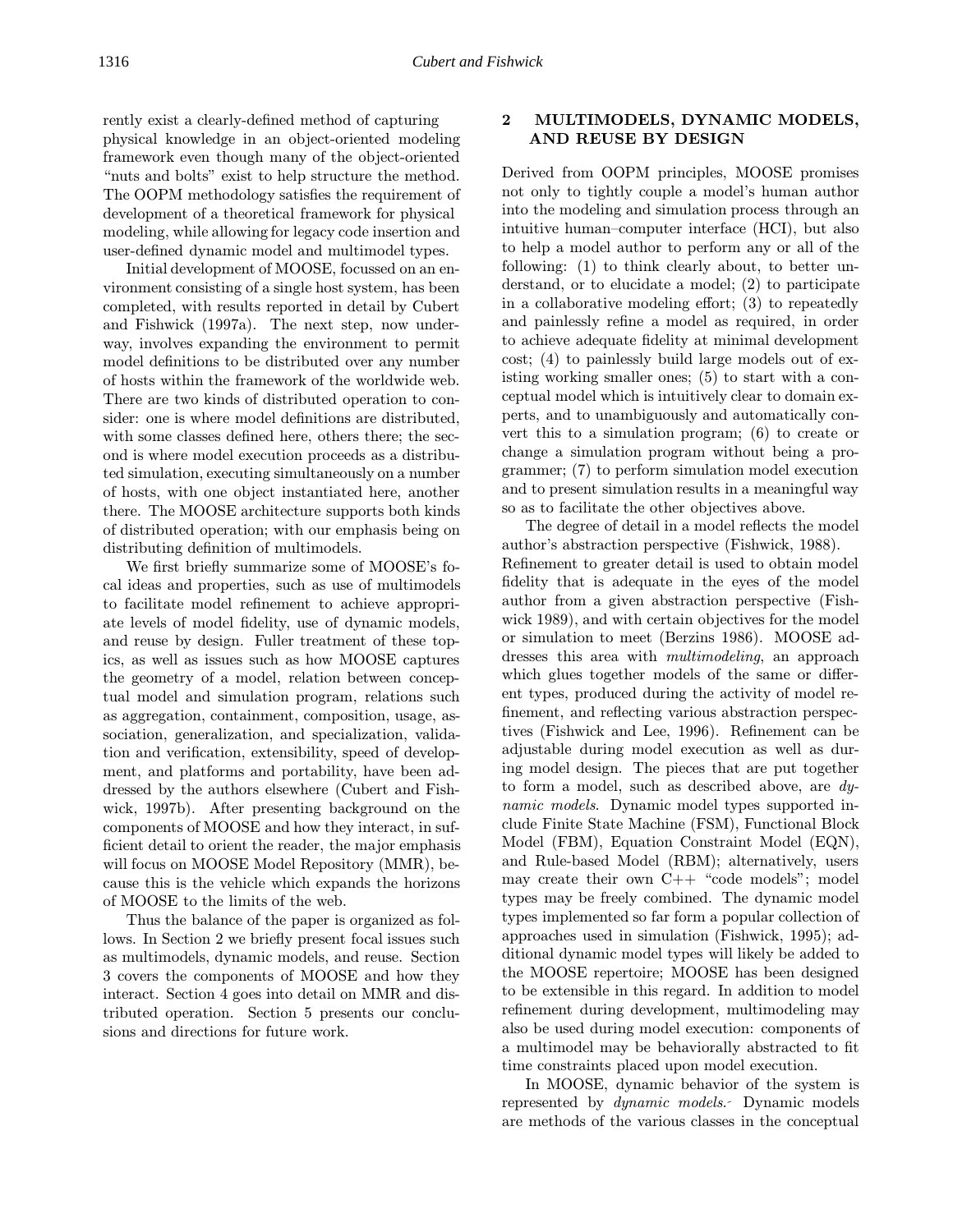rently exist a clearly-defined method of capturing physical knowledge in an object-oriented modeling framework even though many of the object-oriented "nuts and bolts" exist to help structure the method. The OOPM methodology satisfies the requirement of development of a theoretical framework for physical modeling, while allowing for legacy code insertion and user-defined dynamic model and multimodel types.

Initial development of MOOSE, focussed on an environment consisting of a single host system, has been completed, with results reported in detail by Cubert and Fishwick (1997a). The next step, now underway, involves expanding the environment to permit model definitions to be distributed over any number of hosts within the framework of the worldwide web. There are two kinds of distributed operation to consider: one is where model definitions are distributed, with some classes defined here, others there; the second is where model execution proceeds as a distributed simulation, executing simultaneously on a number of hosts, with one object instantiated here, another there. The MOOSE architecture supports both kinds of distributed operation; with our emphasis being on distributing definition of multimodels.

We first briefly summarize some of MOOSE's focal ideas and properties, such as use of multimodels to facilitate model refinement to achieve appropriate levels of model fidelity, use of dynamic models, and reuse by design. Fuller treatment of these topics, as well as issues such as how MOOSE captures the geometry of a model, relation between conceptual model and simulation program, relations such as aggregation, containment, composition, usage, association, generalization, and specialization, validation and verification, extensibility, speed of development, and platforms and portability, have been addressed by the authors elsewhere (Cubert and Fishwick, 1997b). After presenting background on the components of MOOSE and how they interact, in sufficient detail to orient the reader, the major emphasis will focus on MOOSE Model Repository (MMR), because this is the vehicle which expands the horizons of MOOSE to the limits of the web.

Thus the balance of the paper is organized as follows. In Section 2 we briefly present focal issues such as multimodels, dynamic models, and reuse. Section 3 covers the components of MOOSE and how they interact. Section 4 goes into detail on MMR and distributed operation. Section 5 presents our conclusions and directions for future work.

#### 2 MULTIMODELS, DYNAMIC MODELS, AND REUSE BY DESIGN

Derived from OOPM principles, MOOSE promises not only to tightly couple a model's human author into the modeling and simulation process through an intuitive human–computer interface (HCI), but also to help a model author to perform any or all of the following: (1) to think clearly about, to better understand, or to elucidate a model; (2) to participate in a collaborative modeling effort; (3) to repeatedly and painlessly refine a model as required, in order to achieve adequate fidelity at minimal development cost; (4) to painlessly build large models out of existing working smaller ones; (5) to start with a conceptual model which is intuitively clear to domain experts, and to unambiguously and automatically convert this to a simulation program; (6) to create or change a simulation program without being a programmer; (7) to perform simulation model execution and to present simulation results in a meaningful way so as to facilitate the other objectives above.

The degree of detail in a model reflects the model author's abstraction perspective (Fishwick, 1988). Refinement to greater detail is used to obtain model fidelity that is adequate in the eyes of the model author from a given abstraction perspective (Fishwick 1989), and with certain objectives for the model or simulation to meet (Berzins 1986). MOOSE addresses this area with multimodeling, an approach which glues together models of the same or different types, produced during the activity of model refinement, and reflecting various abstraction perspectives (Fishwick and Lee, 1996). Refinement can be adjustable during model execution as well as during model design. The pieces that are put together to form a model, such as described above, are dynamic models. Dynamic model types supported include Finite State Machine (FSM), Functional Block Model (FBM), Equation Constraint Model (EQN), and Rule-based Model (RBM); alternatively, users may create their own C++ "code models"; model types may be freely combined. The dynamic model types implemented so far form a popular collection of approaches used in simulation (Fishwick, 1995); additional dynamic model types will likely be added to the MOOSE repertoire; MOOSE has been designed to be extensible in this regard. In addition to model refinement during development, multimodeling may also be used during model execution: components of a multimodel may be behaviorally abstracted to fit time constraints placed upon model execution.

In MOOSE, dynamic behavior of the system is represented by dynamic models. Dynamic models are methods of the various classes in the conceptual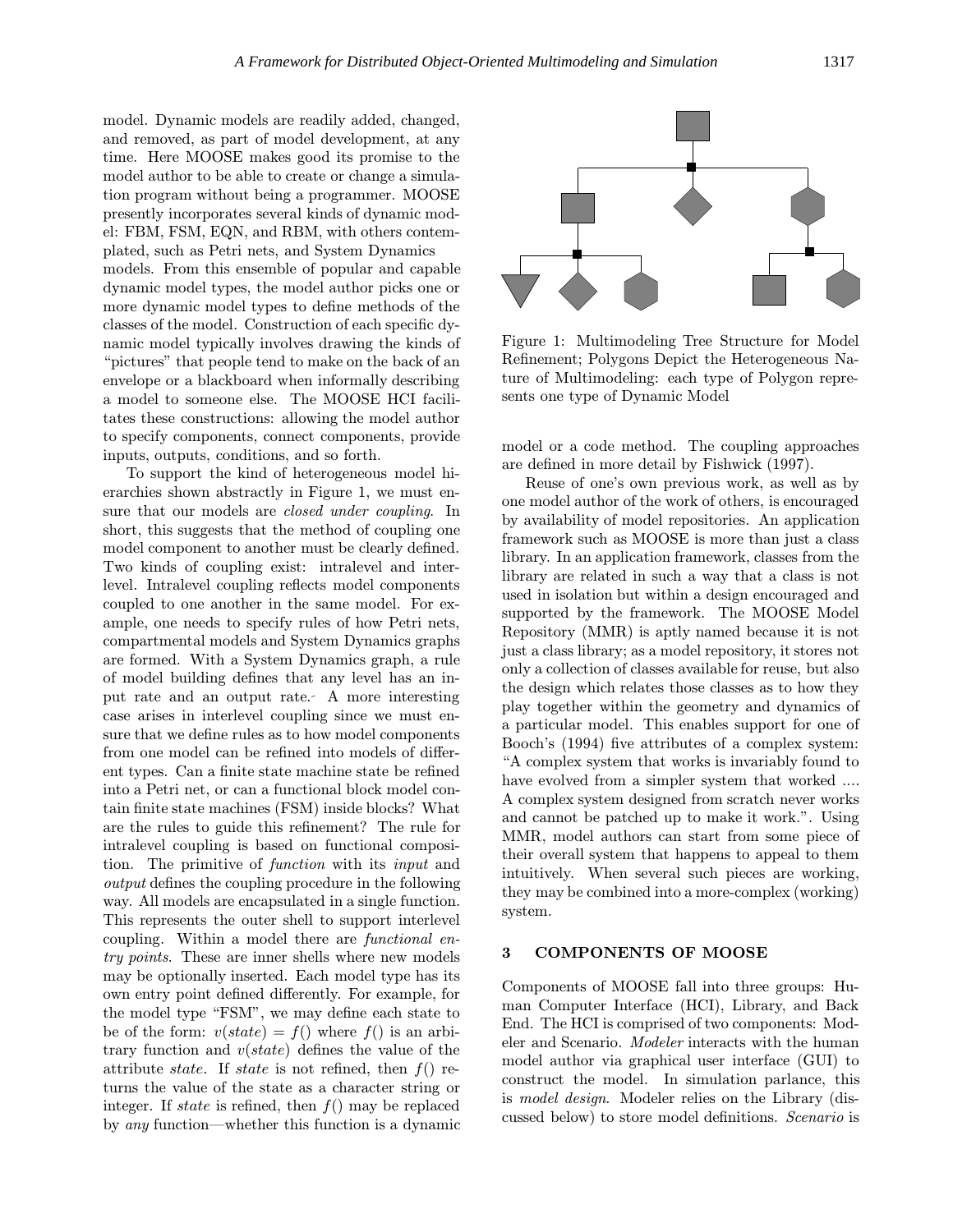model. Dynamic models are readily added, changed, and removed, as part of model development, at any time. Here MOOSE makes good its promise to the model author to be able to create or change a simulation program without being a programmer. MOOSE presently incorporates several kinds of dynamic model: FBM, FSM, EQN, and RBM, with others contemplated, such as Petri nets, and System Dynamics

models. From this ensemble of popular and capable dynamic model types, the model author picks one or more dynamic model types to define methods of the classes of the model. Construction of each specific dynamic model typically involves drawing the kinds of "pictures" that people tend to make on the back of an envelope or a blackboard when informally describing a model to someone else. The MOOSE HCI facilitates these constructions: allowing the model author to specify components, connect components, provide inputs, outputs, conditions, and so forth.

To support the kind of heterogeneous model hierarchies shown abstractly in Figure 1, we must ensure that our models are closed under coupling. In short, this suggests that the method of coupling one model component to another must be clearly defined. Two kinds of coupling exist: intralevel and interlevel. Intralevel coupling reflects model components coupled to one another in the same model. For example, one needs to specify rules of how Petri nets, compartmental models and System Dynamics graphs are formed. With a System Dynamics graph, a rule of model building defines that any level has an input rate and an output rate. A more interesting case arises in interlevel coupling since we must ensure that we define rules as to how model components from one model can be refined into models of different types. Can a finite state machine state be refined into a Petri net, or can a functional block model contain finite state machines (FSM) inside blocks? What are the rules to guide this refinement? The rule for intralevel coupling is based on functional composition. The primitive of function with its input and output defines the coupling procedure in the following way. All models are encapsulated in a single function. This represents the outer shell to support interlevel coupling. Within a model there are functional entry points. These are inner shells where new models may be optionally inserted. Each model type has its own entry point defined differently. For example, for the model type "FSM", we may define each state to be of the form:  $v(state) = f()$  where  $f()$  is an arbitrary function and  $v(state)$  defines the value of the attribute *state*. If *state* is not refined, then  $f()$  returns the value of the state as a character string or integer. If state is refined, then  $f()$  may be replaced by any function—whether this function is a dynamic



Figure 1: Multimodeling Tree Structure for Model Refinement; Polygons Depict the Heterogeneous Nature of Multimodeling: each type of Polygon represents one type of Dynamic Model

model or a code method. The coupling approaches are defined in more detail by Fishwick (1997).

Reuse of one's own previous work, as well as by one model author of the work of others, is encouraged by availability of model repositories. An application framework such as MOOSE is more than just a class library. In an application framework, classes from the library are related in such a way that a class is not used in isolation but within a design encouraged and supported by the framework. The MOOSE Model Repository (MMR) is aptly named because it is not just a class library; as a model repository, it stores not only a collection of classes available for reuse, but also the design which relates those classes as to how they play together within the geometry and dynamics of a particular model. This enables support for one of Booch's (1994) five attributes of a complex system: "A complex system that works is invariably found to have evolved from a simpler system that worked .... A complex system designed from scratch never works and cannot be patched up to make it work.". Using MMR, model authors can start from some piece of their overall system that happens to appeal to them intuitively. When several such pieces are working, they may be combined into a more-complex (working) system.

#### 3 COMPONENTS OF MOOSE

Components of MOOSE fall into three groups: Human Computer Interface (HCI), Library, and Back End. The HCI is comprised of two components: Modeler and Scenario. Modeler interacts with the human model author via graphical user interface (GUI) to construct the model. In simulation parlance, this is model design. Modeler relies on the Library (discussed below) to store model definitions. Scenario is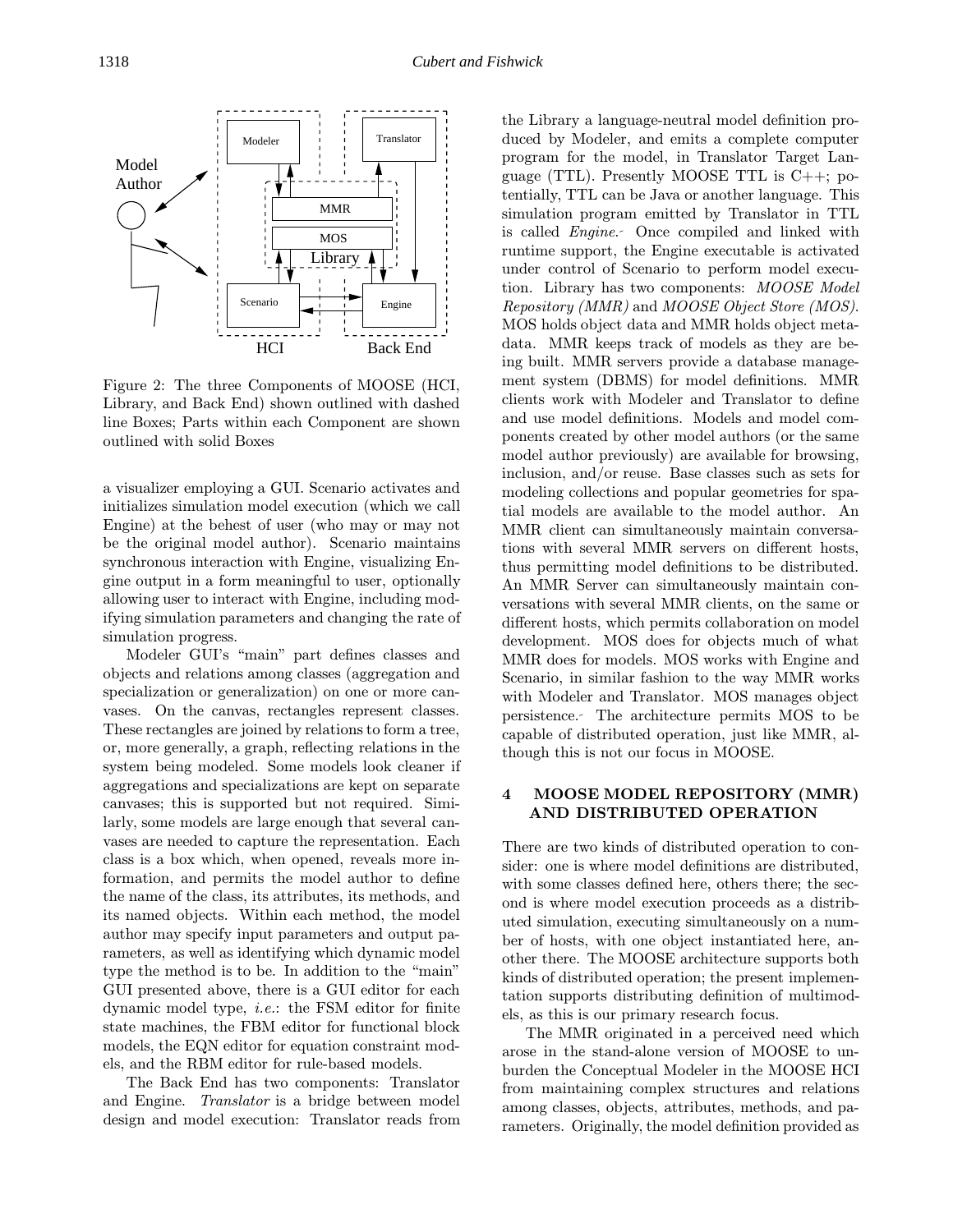Figure 2: The three Components of MOOSE (HCI, Library, and Back End) shown outlined with dashed line Boxes; Parts within each Component are shown outlined with solid Boxes

a visualizer employing a GUI. Scenario activates and initializes simulation model execution (which we call Engine) at the behest of user (who may or may not be the original model author). Scenario maintains synchronous interaction with Engine, visualizing Engine output in a form meaningful to user, optionally allowing user to interact with Engine, including modifying simulation parameters and changing the rate of simulation progress.

Modeler GUI's "main" part defines classes and objects and relations among classes (aggregation and specialization or generalization) on one or more canvases. On the canvas, rectangles represent classes. These rectangles are joined by relations to form a tree, or, more generally, a graph, reflecting relations in the system being modeled. Some models look cleaner if aggregations and specializations are kept on separate canvases; this is supported but not required. Similarly, some models are large enough that several canvases are needed to capture the representation. Each class is a box which, when opened, reveals more information, and permits the model author to define the name of the class, its attributes, its methods, and its named objects. Within each method, the model author may specify input parameters and output parameters, as well as identifying which dynamic model type the method is to be. In addition to the "main" GUI presented above, there is a GUI editor for each dynamic model type, i.e.: the FSM editor for finite state machines, the FBM editor for functional block models, the EQN editor for equation constraint models, and the RBM editor for rule-based models.

The Back End has two components: Translator and Engine. Translator is a bridge between model design and model execution: Translator reads from the Library a language-neutral model definition produced by Modeler, and emits a complete computer program for the model, in Translator Target Language (TTL). Presently MOOSE TTL is C++; potentially, TTL can be Java or another language. This simulation program emitted by Translator in TTL is called Engine. Once compiled and linked with runtime support, the Engine executable is activated under control of Scenario to perform model execution. Library has two components: MOOSE Model Repository (MMR) and MOOSE Object Store (MOS). MOS holds object data and MMR holds object metadata. MMR keeps track of models as they are being built. MMR servers provide a database management system (DBMS) for model definitions. MMR clients work with Modeler and Translator to define and use model definitions. Models and model components created by other model authors (or the same model author previously) are available for browsing, inclusion, and/or reuse. Base classes such as sets for modeling collections and popular geometries for spatial models are available to the model author. An MMR client can simultaneously maintain conversations with several MMR servers on different hosts, thus permitting model definitions to be distributed. An MMR Server can simultaneously maintain conversations with several MMR clients, on the same or different hosts, which permits collaboration on model development. MOS does for objects much of what MMR does for models. MOS works with Engine and Scenario, in similar fashion to the way MMR works with Modeler and Translator. MOS manages object persistence. The architecture permits MOS to be capable of distributed operation, just like MMR, although this is not our focus in MOOSE.

#### 4 MOOSE MODEL REPOSITORY (MMR) AND DISTRIBUTED OPERATION

There are two kinds of distributed operation to consider: one is where model definitions are distributed, with some classes defined here, others there; the second is where model execution proceeds as a distributed simulation, executing simultaneously on a number of hosts, with one object instantiated here, another there. The MOOSE architecture supports both kinds of distributed operation; the present implementation supports distributing definition of multimodels, as this is our primary research focus.

The MMR originated in a perceived need which arose in the stand-alone version of MOOSE to unburden the Conceptual Modeler in the MOOSE HCI from maintaining complex structures and relations among classes, objects, attributes, methods, and parameters. Originally, the model definition provided as

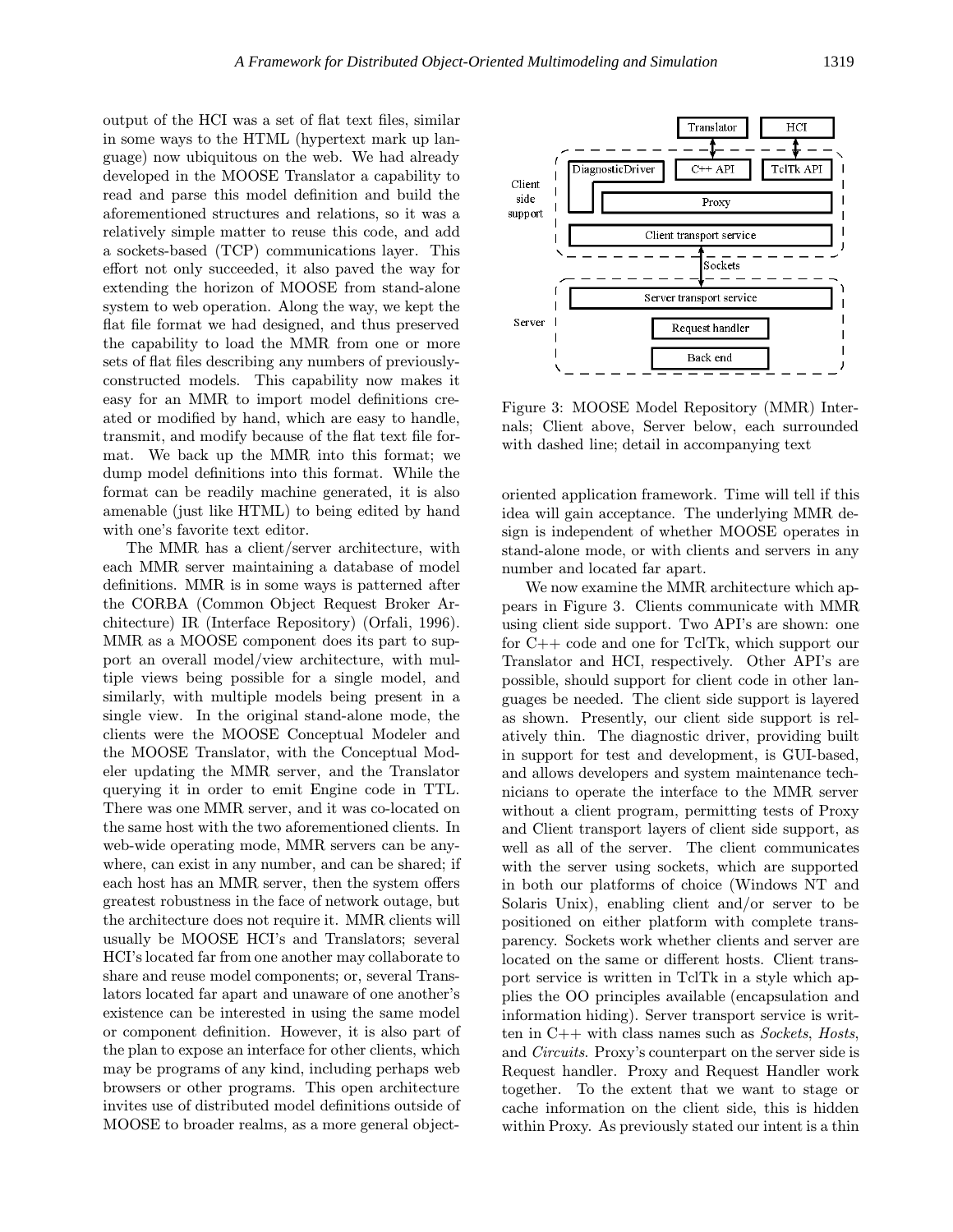output of the HCI was a set of flat text files, similar in some ways to the HTML (hypertext mark up language) now ubiquitous on the web. We had already developed in the MOOSE Translator a capability to read and parse this model definition and build the aforementioned structures and relations, so it was a relatively simple matter to reuse this code, and add a sockets-based (TCP) communications layer. This effort not only succeeded, it also paved the way for extending the horizon of MOOSE from stand-alone system to web operation. Along the way, we kept the flat file format we had designed, and thus preserved the capability to load the MMR from one or more sets of flat files describing any numbers of previouslyconstructed models. This capability now makes it easy for an MMR to import model definitions created or modified by hand, which are easy to handle, transmit, and modify because of the flat text file format. We back up the MMR into this format; we dump model definitions into this format. While the format can be readily machine generated, it is also amenable (just like HTML) to being edited by hand with one's favorite text editor.

The MMR has a client/server architecture, with each MMR server maintaining a database of model definitions. MMR is in some ways is patterned after the CORBA (Common Object Request Broker Architecture) IR (Interface Repository) (Orfali, 1996). MMR as a MOOSE component does its part to support an overall model/view architecture, with multiple views being possible for a single model, and similarly, with multiple models being present in a single view. In the original stand-alone mode, the clients were the MOOSE Conceptual Modeler and the MOOSE Translator, with the Conceptual Modeler updating the MMR server, and the Translator querying it in order to emit Engine code in TTL. There was one MMR server, and it was co-located on the same host with the two aforementioned clients. In web-wide operating mode, MMR servers can be anywhere, can exist in any number, and can be shared; if each host has an MMR server, then the system offers greatest robustness in the face of network outage, but the architecture does not require it. MMR clients will usually be MOOSE HCI's and Translators; several HCI's located far from one another may collaborate to share and reuse model components; or, several Translators located far apart and unaware of one another's existence can be interested in using the same model or component definition. However, it is also part of the plan to expose an interface for other clients, which may be programs of any kind, including perhaps web browsers or other programs. This open architecture invites use of distributed model definitions outside of MOOSE to broader realms, as a more general object-



Figure 3: MOOSE Model Repository (MMR) Internals; Client above, Server below, each surrounded with dashed line; detail in accompanying text

oriented application framework. Time will tell if this idea will gain acceptance. The underlying MMR design is independent of whether MOOSE operates in stand-alone mode, or with clients and servers in any number and located far apart.

We now examine the MMR architecture which appears in Figure 3. Clients communicate with MMR using client side support. Two API's are shown: one for C++ code and one for TclTk, which support our Translator and HCI, respectively. Other API's are possible, should support for client code in other languages be needed. The client side support is layered as shown. Presently, our client side support is relatively thin. The diagnostic driver, providing built in support for test and development, is GUI-based, and allows developers and system maintenance technicians to operate the interface to the MMR server without a client program, permitting tests of Proxy and Client transport layers of client side support, as well as all of the server. The client communicates with the server using sockets, which are supported in both our platforms of choice (Windows NT and Solaris Unix), enabling client and/or server to be positioned on either platform with complete transparency. Sockets work whether clients and server are located on the same or different hosts. Client transport service is written in TclTk in a style which applies the OO principles available (encapsulation and information hiding). Server transport service is written in  $C++$  with class names such as *Sockets*, *Hosts*, and Circuits. Proxy's counterpart on the server side is Request handler. Proxy and Request Handler work together. To the extent that we want to stage or cache information on the client side, this is hidden within Proxy. As previously stated our intent is a thin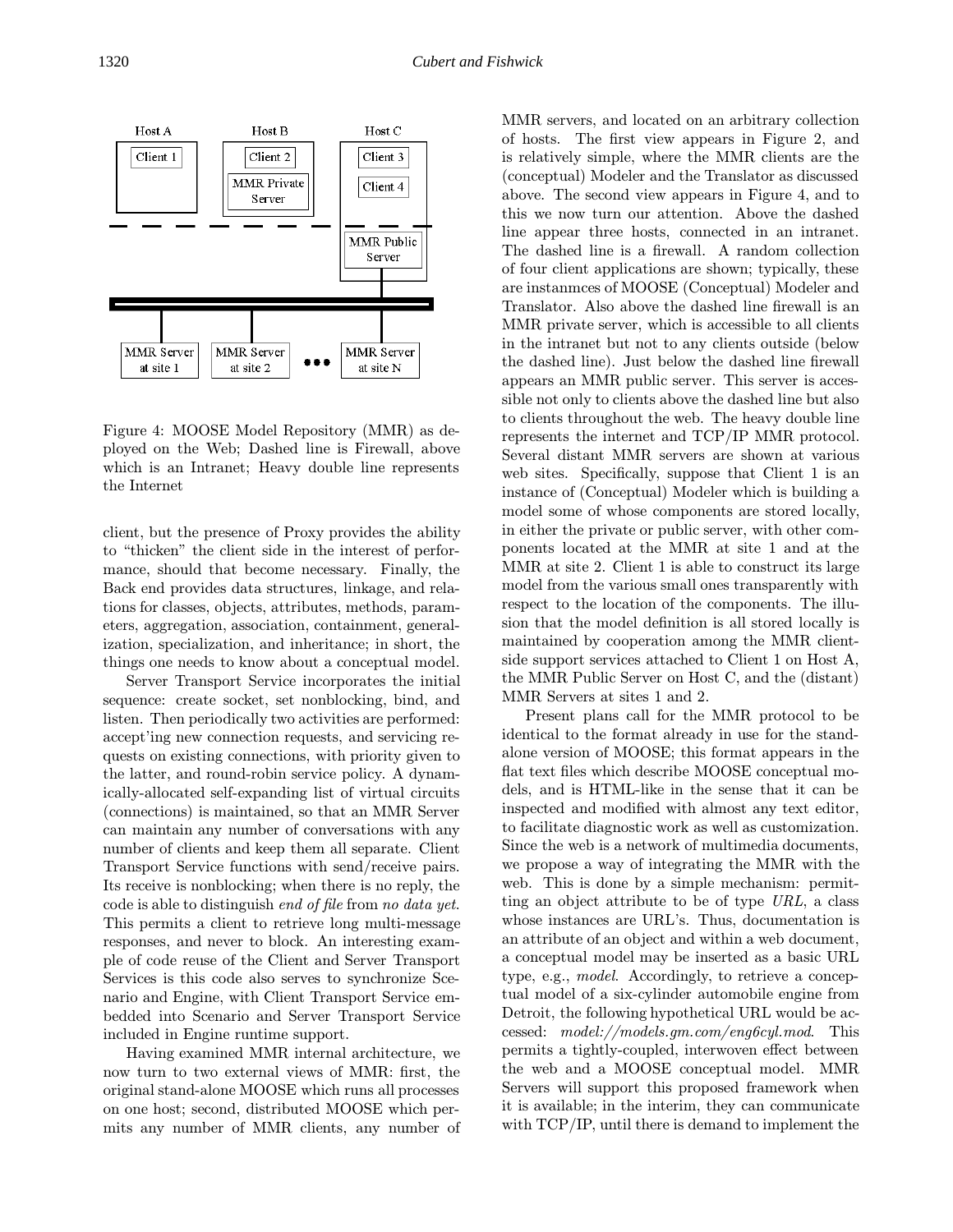

Figure 4: MOOSE Model Repository (MMR) as deployed on the Web; Dashed line is Firewall, above which is an Intranet; Heavy double line represents the Internet

client, but the presence of Proxy provides the ability to "thicken" the client side in the interest of performance, should that become necessary. Finally, the Back end provides data structures, linkage, and relations for classes, objects, attributes, methods, parameters, aggregation, association, containment, generalization, specialization, and inheritance; in short, the things one needs to know about a conceptual model.

Server Transport Service incorporates the initial sequence: create socket, set nonblocking, bind, and listen. Then periodically two activities are performed: accept'ing new connection requests, and servicing requests on existing connections, with priority given to the latter, and round-robin service policy. A dynamically-allocated self-expanding list of virtual circuits (connections) is maintained, so that an MMR Server can maintain any number of conversations with any number of clients and keep them all separate. Client Transport Service functions with send/receive pairs. Its receive is nonblocking; when there is no reply, the code is able to distinguish end of file from no data yet. This permits a client to retrieve long multi-message responses, and never to block. An interesting example of code reuse of the Client and Server Transport Services is this code also serves to synchronize Scenario and Engine, with Client Transport Service embedded into Scenario and Server Transport Service included in Engine runtime support.

Having examined MMR internal architecture, we now turn to two external views of MMR: first, the original stand-alone MOOSE which runs all processes on one host; second, distributed MOOSE which permits any number of MMR clients, any number of MMR servers, and located on an arbitrary collection of hosts. The first view appears in Figure 2, and is relatively simple, where the MMR clients are the (conceptual) Modeler and the Translator as discussed above. The second view appears in Figure 4, and to this we now turn our attention. Above the dashed line appear three hosts, connected in an intranet. The dashed line is a firewall. A random collection of four client applications are shown; typically, these are instanmces of MOOSE (Conceptual) Modeler and Translator. Also above the dashed line firewall is an MMR private server, which is accessible to all clients in the intranet but not to any clients outside (below the dashed line). Just below the dashed line firewall appears an MMR public server. This server is accessible not only to clients above the dashed line but also to clients throughout the web. The heavy double line represents the internet and TCP/IP MMR protocol. Several distant MMR servers are shown at various web sites. Specifically, suppose that Client 1 is an instance of (Conceptual) Modeler which is building a model some of whose components are stored locally, in either the private or public server, with other components located at the MMR at site 1 and at the MMR at site 2. Client 1 is able to construct its large model from the various small ones transparently with respect to the location of the components. The illusion that the model definition is all stored locally is maintained by cooperation among the MMR clientside support services attached to Client 1 on Host A, the MMR Public Server on Host C, and the (distant) MMR Servers at sites 1 and 2.

Present plans call for the MMR protocol to be identical to the format already in use for the standalone version of MOOSE; this format appears in the flat text files which describe MOOSE conceptual models, and is HTML-like in the sense that it can be inspected and modified with almost any text editor, to facilitate diagnostic work as well as customization. Since the web is a network of multimedia documents, we propose a way of integrating the MMR with the web. This is done by a simple mechanism: permitting an object attribute to be of type URL, a class whose instances are URL's. Thus, documentation is an attribute of an object and within a web document, a conceptual model may be inserted as a basic URL type, e.g., model. Accordingly, to retrieve a conceptual model of a six-cylinder automobile engine from Detroit, the following hypothetical URL would be accessed: model://models.gm.com/eng6cyl.mod. This permits a tightly-coupled, interwoven effect between the web and a MOOSE conceptual model. MMR Servers will support this proposed framework when it is available; in the interim, they can communicate with TCP/IP, until there is demand to implement the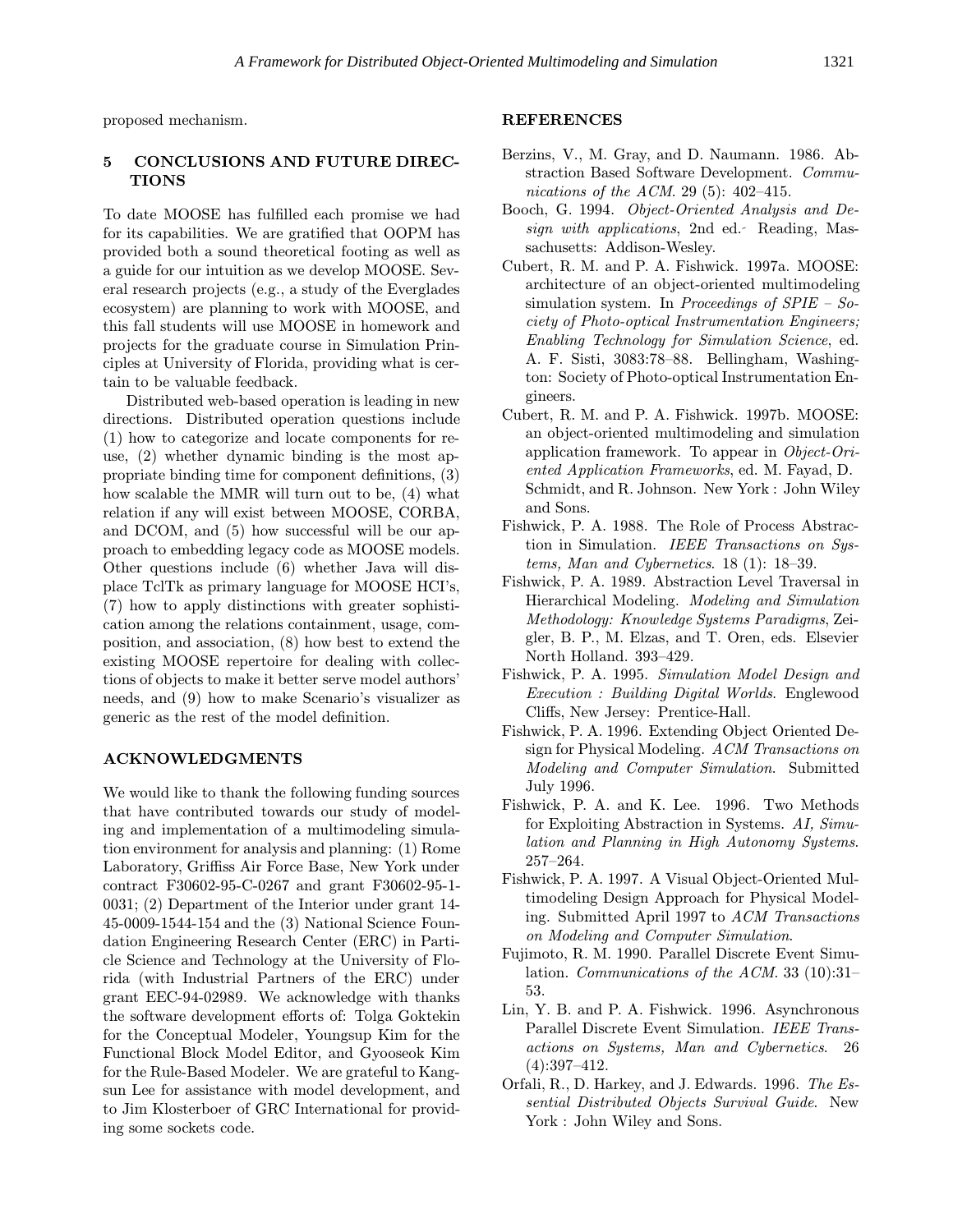proposed mechanism.

## 5 CONCLUSIONS AND FUTURE DIREC-**TIONS**

To date MOOSE has fulfilled each promise we had for its capabilities. We are gratified that OOPM has provided both a sound theoretical footing as well as a guide for our intuition as we develop MOOSE. Several research projects (e.g., a study of the Everglades ecosystem) are planning to work with MOOSE, and this fall students will use MOOSE in homework and projects for the graduate course in Simulation Principles at University of Florida, providing what is certain to be valuable feedback.

Distributed web-based operation is leading in new directions. Distributed operation questions include (1) how to categorize and locate components for reuse, (2) whether dynamic binding is the most appropriate binding time for component definitions, (3) how scalable the MMR will turn out to be, (4) what relation if any will exist between MOOSE, CORBA, and DCOM, and (5) how successful will be our approach to embedding legacy code as MOOSE models. Other questions include (6) whether Java will displace TclTk as primary language for MOOSE HCI's, (7) how to apply distinctions with greater sophistication among the relations containment, usage, composition, and association, (8) how best to extend the existing MOOSE repertoire for dealing with collections of objects to make it better serve model authors' needs, and (9) how to make Scenario's visualizer as generic as the rest of the model definition.

#### ACKNOWLEDGMENTS

We would like to thank the following funding sources that have contributed towards our study of modeling and implementation of a multimodeling simulation environment for analysis and planning: (1) Rome Laboratory, Griffiss Air Force Base, New York under contract F30602-95-C-0267 and grant F30602-95-1- 0031; (2) Department of the Interior under grant 14- 45-0009-1544-154 and the (3) National Science Foundation Engineering Research Center (ERC) in Particle Science and Technology at the University of Florida (with Industrial Partners of the ERC) under grant EEC-94-02989. We acknowledge with thanks the software development efforts of: Tolga Goktekin for the Conceptual Modeler, Youngsup Kim for the Functional Block Model Editor, and Gyooseok Kim for the Rule-Based Modeler. We are grateful to Kangsun Lee for assistance with model development, and to Jim Klosterboer of GRC International for providing some sockets code.

#### REFERENCES

- Berzins, V., M. Gray, and D. Naumann. 1986. Abstraction Based Software Development. Communications of the ACM. 29 (5): 402–415.
- Booch, G. 1994. Object-Oriented Analysis and Design with applications, 2nd ed. Reading, Massachusetts: Addison-Wesley.
- Cubert, R. M. and P. A. Fishwick. 1997a. MOOSE: architecture of an object-oriented multimodeling simulation system. In Proceedings of  $SPIE - So$ ciety of Photo-optical Instrumentation Engineers; Enabling Technology for Simulation Science, ed. A. F. Sisti, 3083:78–88. Bellingham, Washington: Society of Photo-optical Instrumentation Engineers.
- Cubert, R. M. and P. A. Fishwick. 1997b. MOOSE: an object-oriented multimodeling and simulation application framework. To appear in Object-Oriented Application Frameworks, ed. M. Fayad, D. Schmidt, and R. Johnson. New York : John Wiley and Sons.
- Fishwick, P. A. 1988. The Role of Process Abstraction in Simulation. IEEE Transactions on Systems, Man and Cybernetics. 18 (1): 18–39.
- Fishwick, P. A. 1989. Abstraction Level Traversal in Hierarchical Modeling. Modeling and Simulation Methodology: Knowledge Systems Paradigms, Zeigler, B. P., M. Elzas, and T. Oren, eds. Elsevier North Holland. 393–429.
- Fishwick, P. A. 1995. Simulation Model Design and Execution : Building Digital Worlds. Englewood Cliffs, New Jersey: Prentice-Hall.
- Fishwick, P. A. 1996. Extending Object Oriented Design for Physical Modeling. ACM Transactions on Modeling and Computer Simulation. Submitted July 1996.
- Fishwick, P. A. and K. Lee. 1996. Two Methods for Exploiting Abstraction in Systems. AI, Simulation and Planning in High Autonomy Systems. 257–264.
- Fishwick, P. A. 1997. A Visual Object-Oriented Multimodeling Design Approach for Physical Modeling. Submitted April 1997 to ACM Transactions on Modeling and Computer Simulation.
- Fujimoto, R. M. 1990. Parallel Discrete Event Simulation. Communications of the ACM. 33 (10):31– 53.
- Lin, Y. B. and P. A. Fishwick. 1996. Asynchronous Parallel Discrete Event Simulation. IEEE Transactions on Systems, Man and Cybernetics. 26 (4):397–412.
- Orfali, R., D. Harkey, and J. Edwards. 1996. The Essential Distributed Objects Survival Guide. New York : John Wiley and Sons.